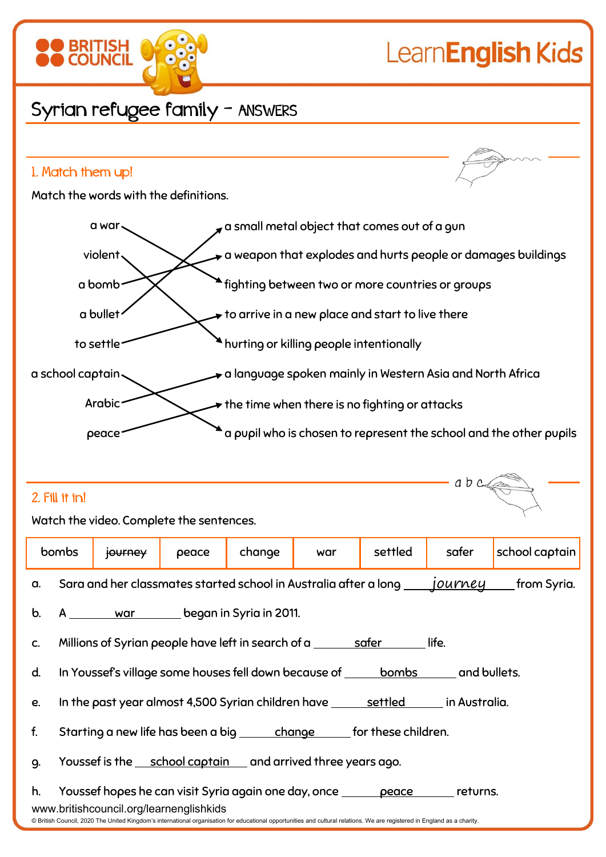

 $abcc$ 

# Syrian refugee family - ANSWERS

### 1. Match them up!

**BRITISH** 

Match the words with the definitions.



### 2. Fill it in!

Watch the video. Complete the sentences.

|               | bombs                                                                                                                                                                                                                                                                                             | journey                                                                                       | peace | change | war                                                                             | settled | safer | school captain |  |
|---------------|---------------------------------------------------------------------------------------------------------------------------------------------------------------------------------------------------------------------------------------------------------------------------------------------------|-----------------------------------------------------------------------------------------------|-------|--------|---------------------------------------------------------------------------------|---------|-------|----------------|--|
| a.            |                                                                                                                                                                                                                                                                                                   | Sara and her classmates started school in Australia after a long ______journey<br>from Syria. |       |        |                                                                                 |         |       |                |  |
| $\mathbf b$ . |                                                                                                                                                                                                                                                                                                   | A <u>war beg</u> an in Syria in 2011.                                                         |       |        |                                                                                 |         |       |                |  |
| C.            | Millions of Syrian people have left in search of a <u>safer</u><br>life.                                                                                                                                                                                                                          |                                                                                               |       |        |                                                                                 |         |       |                |  |
| d.            |                                                                                                                                                                                                                                                                                                   |                                                                                               |       |        | In Youssef's village some houses fell down because of bombs and bullets.        |         |       |                |  |
| e.            |                                                                                                                                                                                                                                                                                                   |                                                                                               |       |        | In the past year almost 4,500 Syrian children have <u>settled</u> in Australia. |         |       |                |  |
| f.            |                                                                                                                                                                                                                                                                                                   |                                                                                               |       |        | Starting a new life has been a big ______ change _____ for these children.      |         |       |                |  |
| q.            | Youssef is the <u>school captain</u> and arrived three years ago.                                                                                                                                                                                                                                 |                                                                                               |       |        |                                                                                 |         |       |                |  |
| h.            | Youssef hopes he can visit Syria again one day, once <u>peace</u> returns.<br>www.britishcouncil.org/learnenglishkids<br>© British Council, 2020 The United Kingdom's international organisation for educational opportunities and cultural relations. We are registered in England as a charity. |                                                                                               |       |        |                                                                                 |         |       |                |  |